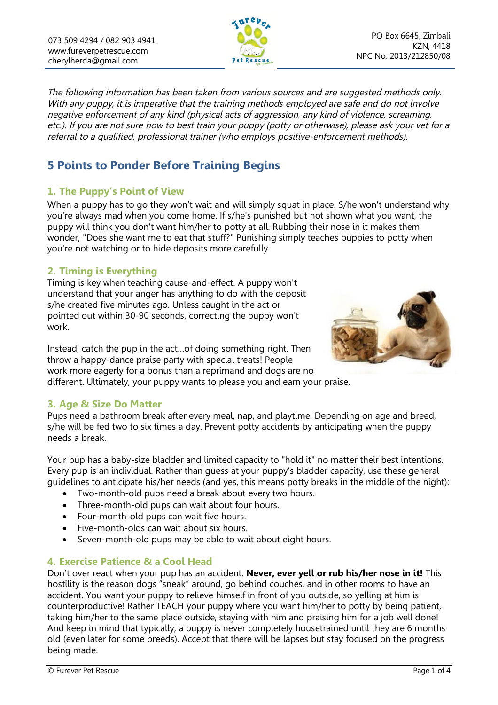

The following information has been taken from various sources and are suggested methods only. With any puppy, it is imperative that the training methods employed are safe and do not involve negative enforcement of any kind (physical acts of aggression, any kind of violence, screaming, etc.). If you are not sure how to best train your puppy (potty or otherwise), please ask your vet for <sup>a</sup> referral to <sup>a</sup> qualified, professional trainer (who employs positive-enforcement methods).

# **5 Points to Ponder Before Training Begins**

## **1. The Puppy's Point of View**

When a puppy has to go they won't wait and will simply squat in place. S/he won't understand why you're always mad when you come home. If s/he's punished but not shown what you want, the puppy will think you don't want him/her to potty at all. Rubbing their nose in it makes them wonder, "Does she want me to eat that stuff?" Punishing simply teaches puppies to potty when you're not watching or to hide deposits more carefully.

## **2. Timing is Everything**

Timing is key when teaching cause-and-effect. A puppy won't understand that your anger has anything to do with the deposit s/he created five minutes ago. Unless caught in the act or pointed out within 30-90 seconds, correcting the puppy won't work.



Instead, catch the pup in the act…of doing something right. Then throw a happy-dance praise party with special treats! People work more eagerly for a bonus than a reprimand and dogs are no different. Ultimately, your puppy wants to please you and earn your praise.

## **3. Age & Size Do Matter**

Pups need a bathroom break after every meal, nap, and playtime. Depending on age and breed, s/he will be fed two to six times a day. Prevent potty accidents by anticipating when the puppy needs a break.

Your pup has a baby-size bladder and limited capacity to "hold it" no matter their best intentions. Every pup is an individual. Rather than guess at your puppy's bladder capacity, use these general guidelines to anticipate his/her needs (and yes, this means potty breaks in the middle of the night):

- Two-month-old pups need a break about every two hours.
- Three-month-old pups can wait about four hours.
- Four-month-old pups can wait five hours.
- Five-month-olds can wait about six hours.
- Seven-month-old pups may be able to wait about eight hours.

## **4. Exercise Patience & a Cool Head**

Don't over react when your pup has an accident. **Never, ever yell or rub his/her nose in it!** This hostility is the reason dogs "sneak" around, go behind couches, and in other rooms to have an accident. You want your puppy to relieve himself in front of you outside, so yelling at him is counterproductive! Rather TEACH your puppy where you want him/her to potty by being patient, taking him/her to the same place outside, staying with him and praising him for a job well done! And keep in mind that typically, a puppy is never completely housetrained until they are 6 months old (even later for some breeds). Accept that there will be lapses but stay focused on the progress being made.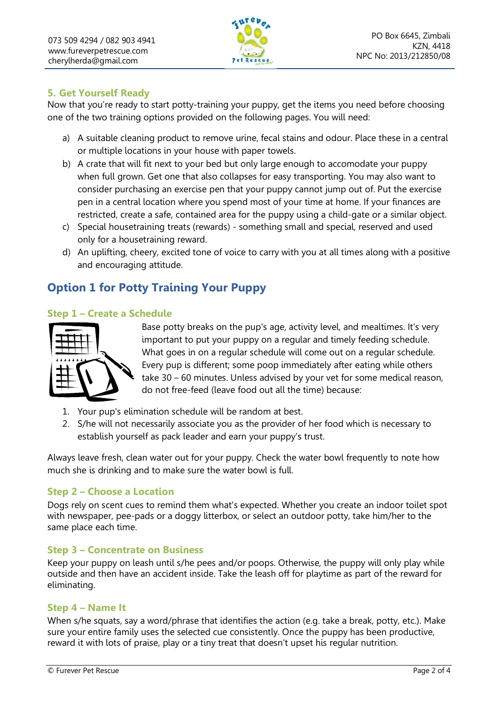

#### **5. Get Yourself Ready**

Now that you're ready to start potty-training your puppy, get the items you need before choosing one of the two training options provided on the following pages. You will need:

- a) A suitable cleaning product to remove urine, fecal stains and odour. Place these in a central or multiple locations in your house with paper towels.
- b) A crate that will fit next to your bed but only large enough to accomodate your puppy when full grown. Get one that also collapses for easy transporting. You may also want to consider purchasing an exercise pen that your puppy cannot jump out of. Put the exercise pen in a central location where you spend most of your time at home. If your finances are restricted, create a safe, contained area for the puppy using a child-gate or a similar object.
- c) Special housetraining treats (rewards) something small and special, reserved and used only for a housetraining reward.
- d) An uplifting, cheery, excited tone of voice to carry with you at all times along with a positive and encouraging attitude.

# **Option 1 for Potty Training Your Puppy**

#### **Step 1 – Create a Schedule**



Base potty breaks on the pup's age, activity level, and mealtimes. It's very important to put your puppy on a regular and timely feeding schedule. What goes in on a regular schedule will come out on a regular schedule. Every pup is different; some poop immediately after eating while others take 30 – 60 minutes. Unless advised by your vet for some medical reason, do not free-feed (leave food out all the time) because:

- 1. Your pup's elimination schedule will be random at best.
- 2. S/he will not necessarily associate you as the provider of her food which is necessary to establish yourself as pack leader and earn your puppy's trust.

Always leave fresh, clean water out for your puppy. Check the water bowl frequently to note how much she is drinking and to make sure the water bowl is full.

#### **Step 2 – Choose a Location**

Dogs rely on scent cues to remind them what's expected. Whether you create an indoor toilet spot with newspaper, pee-pads or a doggy litterbox, or select an outdoor potty, take him/her to the same place each time.

#### **Step 3 – Concentrate on Business**

Keep your puppy on leash until s/he pees and/or poops. Otherwise, the puppy will only play while outside and then have an accident inside. Take the leash off for playtime as part of the reward for eliminating.

#### **Step 4 – Name It**

When s/he squats, say a word/phrase that identifies the action (e.g. take a break, potty, etc.). Make sure your entire family uses the selected cue consistently. Once the puppy has been productive, reward it with lots of praise, play or a tiny treat that doesn't upset his regular nutrition.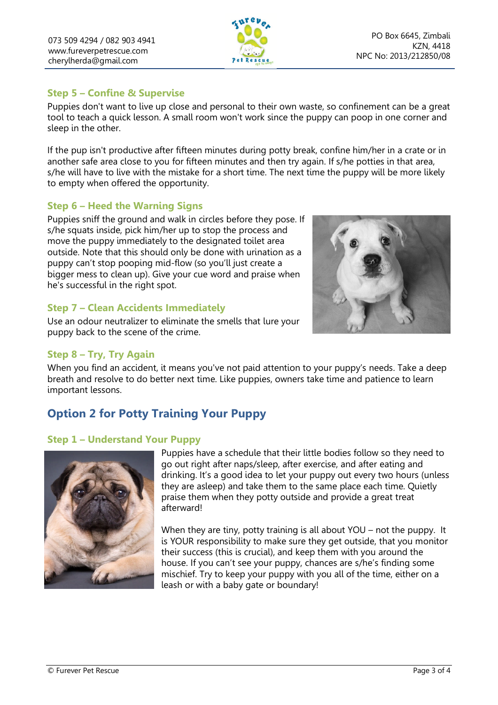#### **Step 5 – Confine & Supervise**

Puppies don't want to live up close and personal to their own waste, so confinement can be a great tool to teach a quick lesson. A small room won't work since the puppy can poop in one corner and sleep in the other.

If the pup isn't productive after fifteen minutes during potty break, confine him/her in a crate or in another safe area close to you for fifteen minutes and then try again. If s/he potties in that area, s/he will have to live with the mistake for a short time. The next time the puppy will be more likely to empty when offered the opportunity.

#### **Step 6 – Heed the Warning Signs**

Puppies sniff the ground and walk in circles before they pose. If s/he squats inside, pick him/her up to stop the process and move the puppy immediately to the designated toilet area outside. Note that this should only be done with urination as a puppy can't stop pooping mid-flow (so you'll just create a bigger mess to clean up). Give your cue word and praise when he's successful in the right spot.

#### **Step 7 – Clean Accidents Immediately**

Use an odour neutralizer to eliminate the smells that lure your puppy back to the scene of the crime.

#### **Step 8 – Try, Try Again**

When you find an accident, it means you've not paid attention to your puppy's needs. Take a deep breath and resolve to do better next time. Like puppies, owners take time and patience to learn important lessons.

## **Option 2 for Potty Training Your Puppy**

## **Step 1 – Understand Your Puppy**

Puppies have a schedule that their little bodies follow so they need to go out right after naps/sleep, after exercise, and after eating and drinking. It's a good idea to let your puppy out every two hours (unless they are asleep) and take them to the same place each time. Quietly praise them when they potty outside and provide a great treat afterward!

When they are tiny, potty training is all about YOU – not the puppy. It is YOUR responsibility to make sure they get outside, that you monitor their success (this is crucial), and keep them with you around the house. If you can't see your puppy, chances are s/he's finding some mischief. Try to keep your puppy with you all of the time, either on a leash or with a baby gate or boundary!